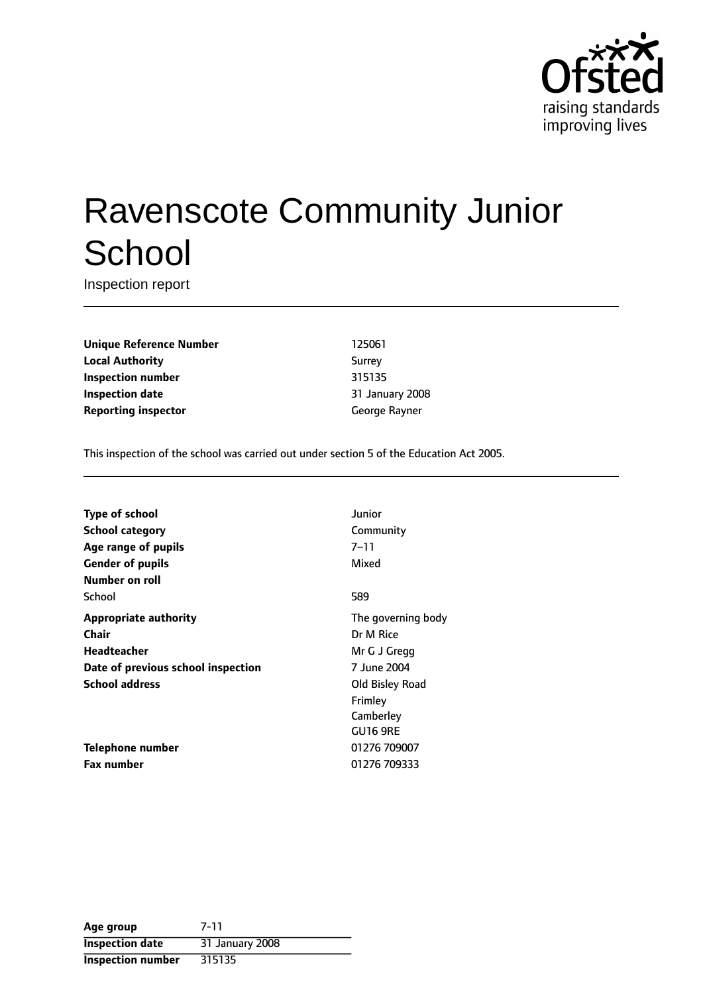

# Ravenscote Community Junior **School**

Inspection report

**Unique Reference Number** 125061 **Local Authority** Surrey **Inspection number** 315135 **Inspection date** 31 January 2008 **Reporting inspector** George Rayner

This inspection of the school was carried out under section 5 of the Education Act 2005.

| <b>Type of school</b>              | Junior             |
|------------------------------------|--------------------|
| <b>School category</b>             | Community          |
| Age range of pupils                | 7–11               |
| <b>Gender of pupils</b>            | Mixed              |
| <b>Number on roll</b>              |                    |
| School                             | 589                |
| <b>Appropriate authority</b>       | The governing body |
| Chair                              | Dr M Rice          |
| Headteacher                        | Mr G J Gregg       |
| Date of previous school inspection | 7 June 2004        |
| <b>School address</b>              | Old Bisley Road    |
|                                    | Frimley            |
|                                    | Camberley          |
|                                    | <b>GU16 9RE</b>    |
| Telephone number                   | 01276 709007       |
| Fax number                         | 01276 709333       |

| Age group                | 7-11            |
|--------------------------|-----------------|
| <b>Inspection date</b>   | 31 January 2008 |
| <b>Inspection number</b> | 315135          |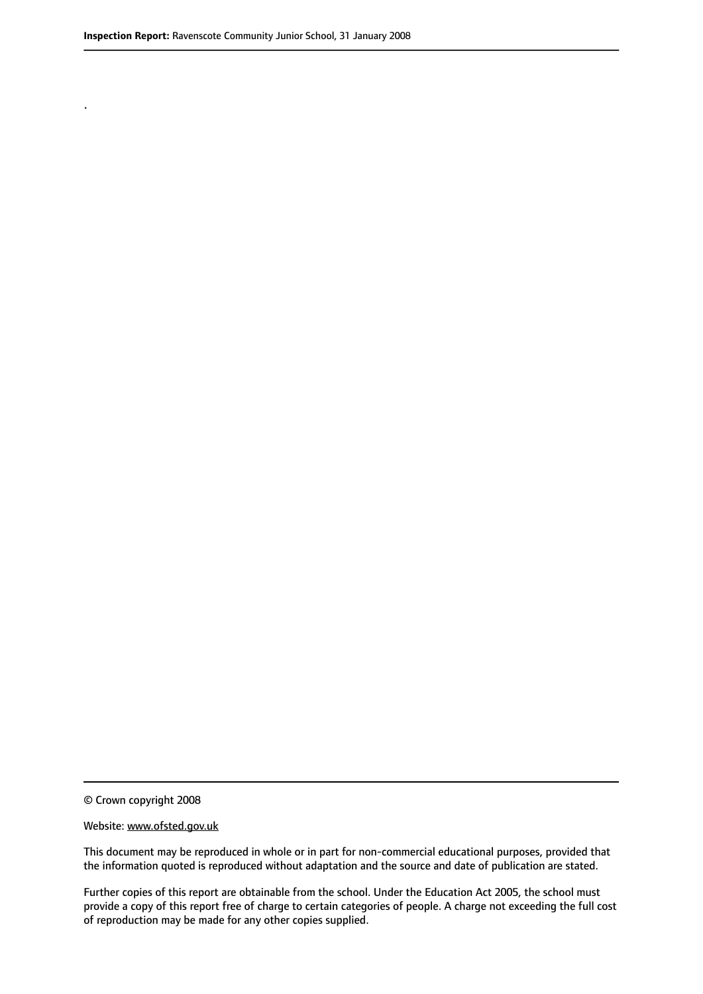.

© Crown copyright 2008

#### Website: www.ofsted.gov.uk

This document may be reproduced in whole or in part for non-commercial educational purposes, provided that the information quoted is reproduced without adaptation and the source and date of publication are stated.

Further copies of this report are obtainable from the school. Under the Education Act 2005, the school must provide a copy of this report free of charge to certain categories of people. A charge not exceeding the full cost of reproduction may be made for any other copies supplied.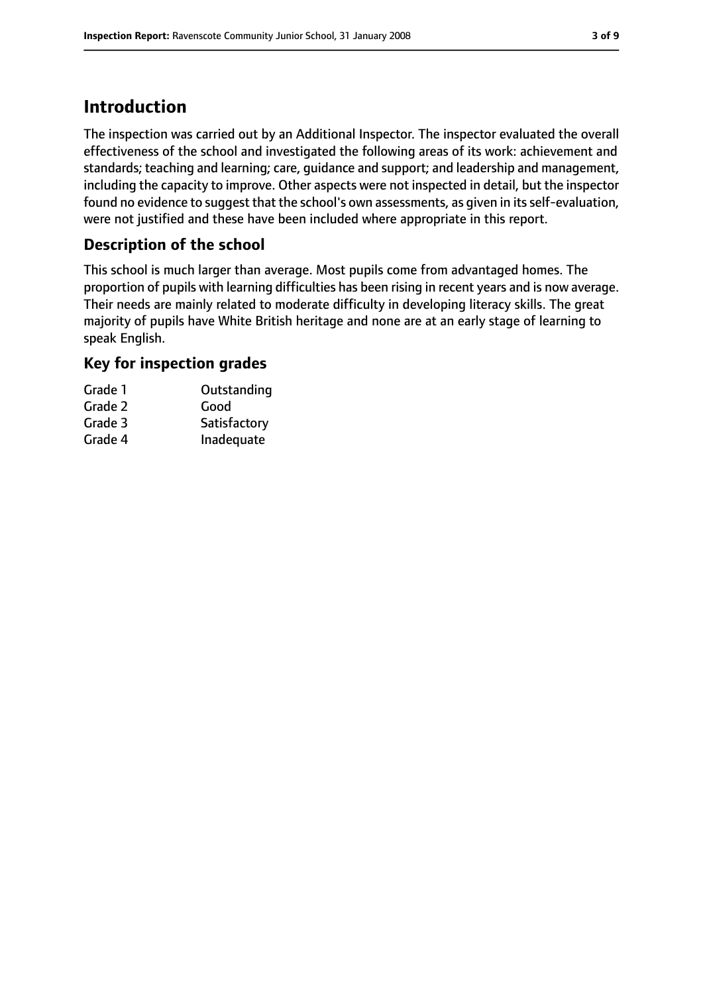## **Introduction**

The inspection was carried out by an Additional Inspector. The inspector evaluated the overall effectiveness of the school and investigated the following areas of its work: achievement and standards; teaching and learning; care, guidance and support; and leadership and management, including the capacity to improve. Other aspects were not inspected in detail, but the inspector found no evidence to suggest that the school's own assessments, as given in its self-evaluation, were not justified and these have been included where appropriate in this report.

#### **Description of the school**

This school is much larger than average. Most pupils come from advantaged homes. The proportion of pupils with learning difficulties has been rising in recent years and is now average. Their needs are mainly related to moderate difficulty in developing literacy skills. The great majority of pupils have White British heritage and none are at an early stage of learning to speak English.

#### **Key for inspection grades**

| Grade 1 | Outstanding  |
|---------|--------------|
| Grade 2 | Good         |
| Grade 3 | Satisfactory |
| Grade 4 | Inadequate   |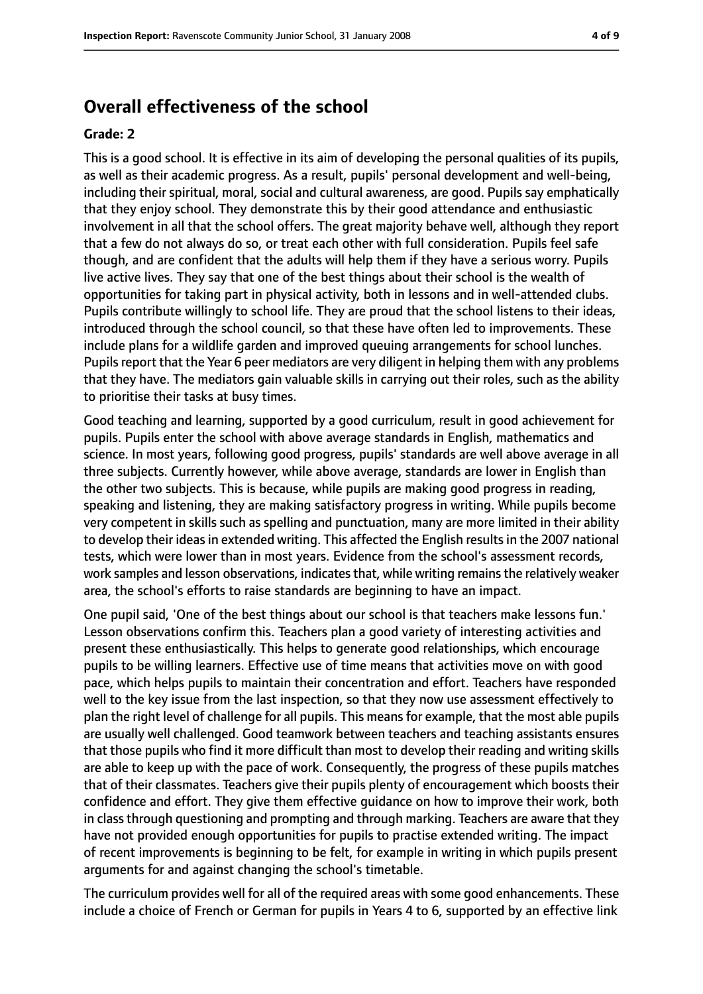## **Overall effectiveness of the school**

#### **Grade: 2**

This is a good school. It is effective in its aim of developing the personal qualities of its pupils, as well as their academic progress. As a result, pupils' personal development and well-being, including their spiritual, moral, social and cultural awareness, are good. Pupils say emphatically that they enjoy school. They demonstrate this by their good attendance and enthusiastic involvement in all that the school offers. The great majority behave well, although they report that a few do not always do so, or treat each other with full consideration. Pupils feel safe though, and are confident that the adults will help them if they have a serious worry. Pupils live active lives. They say that one of the best things about their school is the wealth of opportunities for taking part in physical activity, both in lessons and in well-attended clubs. Pupils contribute willingly to school life. They are proud that the school listens to their ideas, introduced through the school council, so that these have often led to improvements. These include plans for a wildlife garden and improved queuing arrangements for school lunches. Pupils report that the Year 6 peer mediators are very diligent in helping them with any problems that they have. The mediators gain valuable skills in carrying out their roles, such as the ability to prioritise their tasks at busy times.

Good teaching and learning, supported by a good curriculum, result in good achievement for pupils. Pupils enter the school with above average standards in English, mathematics and science. In most years, following good progress, pupils' standards are well above average in all three subjects. Currently however, while above average, standards are lower in English than the other two subjects. This is because, while pupils are making good progress in reading, speaking and listening, they are making satisfactory progress in writing. While pupils become very competent in skills such as spelling and punctuation, many are more limited in their ability to develop their ideas in extended writing. This affected the English results in the 2007 national tests, which were lower than in most years. Evidence from the school's assessment records, work samples and lesson observations, indicates that, while writing remains the relatively weaker area, the school's efforts to raise standards are beginning to have an impact.

One pupil said, 'One of the best things about our school is that teachers make lessons fun.' Lesson observations confirm this. Teachers plan a good variety of interesting activities and present these enthusiastically. This helps to generate good relationships, which encourage pupils to be willing learners. Effective use of time means that activities move on with good pace, which helps pupils to maintain their concentration and effort. Teachers have responded well to the key issue from the last inspection, so that they now use assessment effectively to plan the right level of challenge for all pupils. This means for example, that the most able pupils are usually well challenged. Good teamwork between teachers and teaching assistants ensures that those pupils who find it more difficult than most to develop their reading and writing skills are able to keep up with the pace of work. Consequently, the progress of these pupils matches that of their classmates. Teachers give their pupils plenty of encouragement which boosts their confidence and effort. They give them effective guidance on how to improve their work, both in class through questioning and prompting and through marking. Teachers are aware that they have not provided enough opportunities for pupils to practise extended writing. The impact of recent improvements is beginning to be felt, for example in writing in which pupils present arguments for and against changing the school's timetable.

The curriculum provides well for all of the required areas with some good enhancements. These include a choice of French or German for pupils in Years 4 to 6, supported by an effective link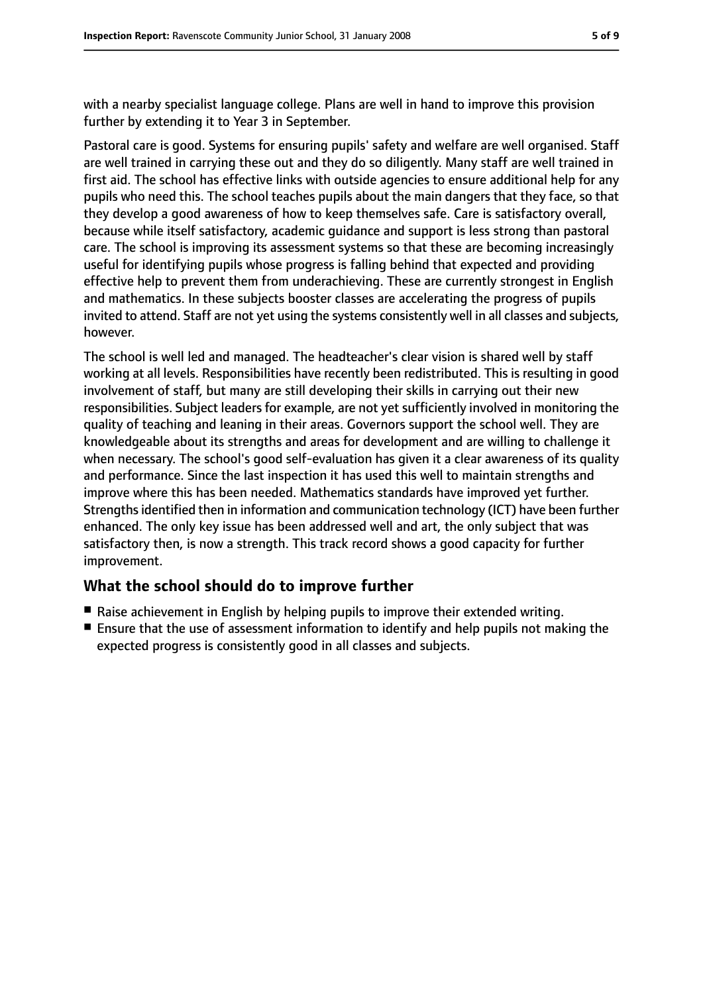with a nearby specialist language college. Plans are well in hand to improve this provision further by extending it to Year 3 in September.

Pastoral care is good. Systems for ensuring pupils' safety and welfare are well organised. Staff are well trained in carrying these out and they do so diligently. Many staff are well trained in first aid. The school has effective links with outside agencies to ensure additional help for any pupils who need this. The school teaches pupils about the main dangers that they face, so that they develop a good awareness of how to keep themselves safe. Care is satisfactory overall, because while itself satisfactory, academic guidance and support is less strong than pastoral care. The school is improving its assessment systems so that these are becoming increasingly useful for identifying pupils whose progress is falling behind that expected and providing effective help to prevent them from underachieving. These are currently strongest in English and mathematics. In these subjects booster classes are accelerating the progress of pupils invited to attend. Staff are not yet using the systems consistently well in all classes and subjects, however.

The school is well led and managed. The headteacher's clear vision is shared well by staff working at all levels. Responsibilities have recently been redistributed. This is resulting in good involvement of staff, but many are still developing their skills in carrying out their new responsibilities. Subject leaders for example, are not yet sufficiently involved in monitoring the quality of teaching and leaning in their areas. Governors support the school well. They are knowledgeable about its strengths and areas for development and are willing to challenge it when necessary. The school's good self-evaluation has given it a clear awareness of its quality and performance. Since the last inspection it has used this well to maintain strengths and improve where this has been needed. Mathematics standards have improved yet further. Strengths identified then in information and communication technology (ICT) have been further enhanced. The only key issue has been addressed well and art, the only subject that was satisfactory then, is now a strength. This track record shows a good capacity for further improvement.

#### **What the school should do to improve further**

- Raise achievement in English by helping pupils to improve their extended writing.
- Ensure that the use of assessment information to identify and help pupils not making the expected progress is consistently good in all classes and subjects.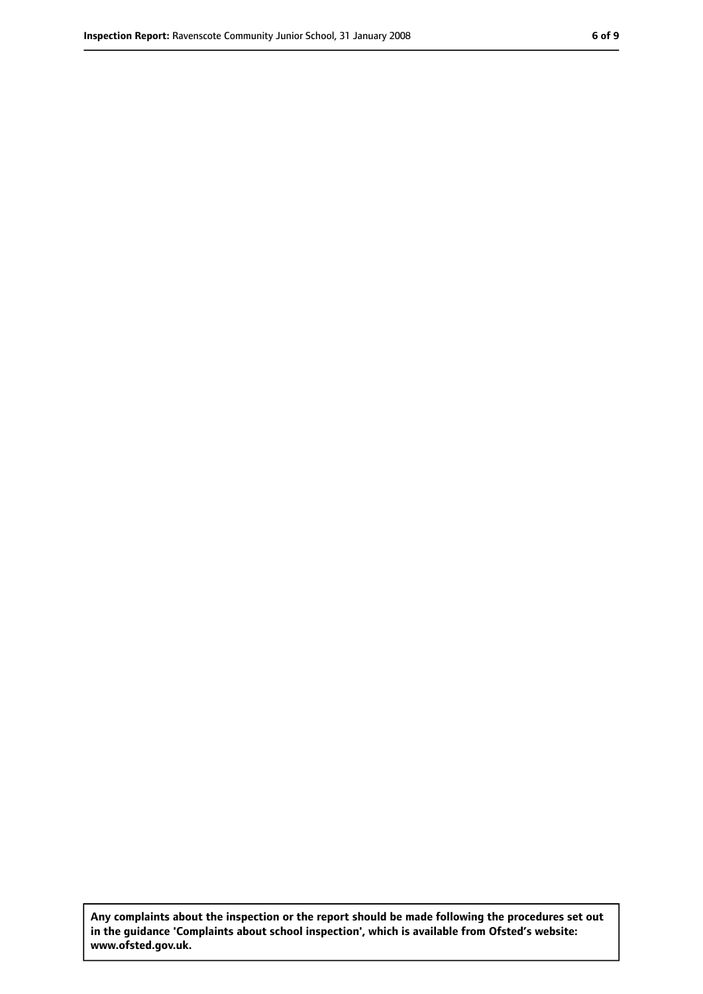**Any complaints about the inspection or the report should be made following the procedures set out in the guidance 'Complaints about school inspection', which is available from Ofsted's website: www.ofsted.gov.uk.**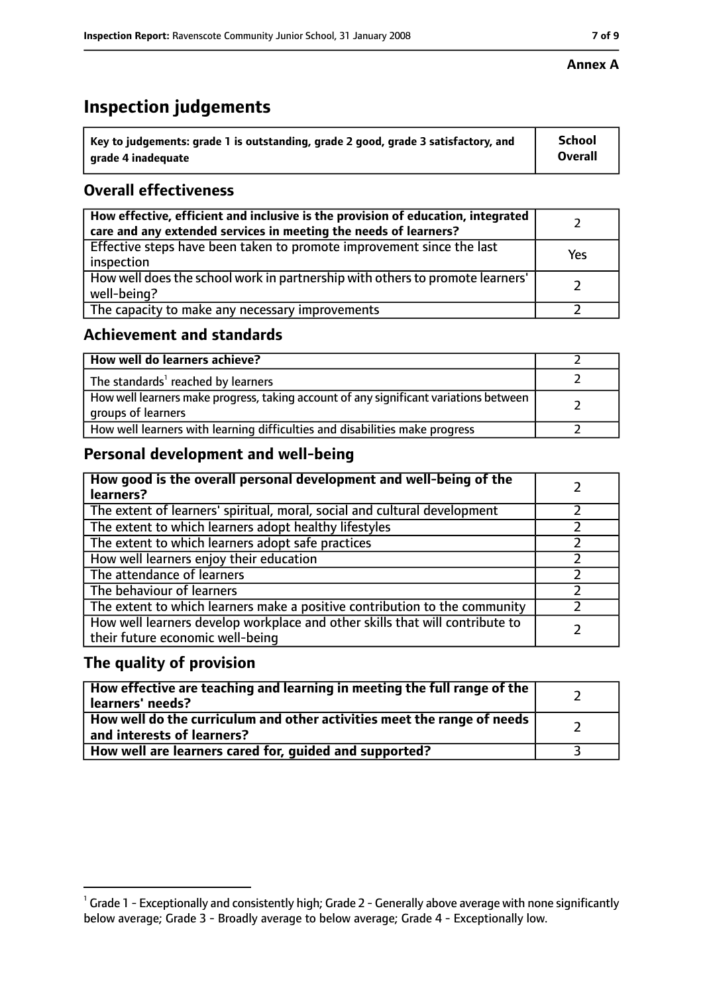# **Inspection judgements**

| $^{\backprime}$ Key to judgements: grade 1 is outstanding, grade 2 good, grade 3 satisfactory, and | School         |
|----------------------------------------------------------------------------------------------------|----------------|
| arade 4 inadequate                                                                                 | <b>Overall</b> |

### **Overall effectiveness**

| How effective, efficient and inclusive is the provision of education, integrated<br>care and any extended services in meeting the needs of learners? |     |
|------------------------------------------------------------------------------------------------------------------------------------------------------|-----|
| Effective steps have been taken to promote improvement since the last<br>inspection                                                                  | Yes |
| How well does the school work in partnership with others to promote learners'<br>well-being?                                                         |     |
| The capacity to make any necessary improvements                                                                                                      |     |

#### **Achievement and standards**

| How well do learners achieve?                                                                               |  |
|-------------------------------------------------------------------------------------------------------------|--|
| The standards <sup>1</sup> reached by learners                                                              |  |
| How well learners make progress, taking account of any significant variations between<br>groups of learners |  |
| How well learners with learning difficulties and disabilities make progress                                 |  |

## **Personal development and well-being**

| How good is the overall personal development and well-being of the<br>learners?                                  |  |
|------------------------------------------------------------------------------------------------------------------|--|
| The extent of learners' spiritual, moral, social and cultural development                                        |  |
| The extent to which learners adopt healthy lifestyles                                                            |  |
| The extent to which learners adopt safe practices                                                                |  |
| How well learners enjoy their education                                                                          |  |
| The attendance of learners                                                                                       |  |
| The behaviour of learners                                                                                        |  |
| The extent to which learners make a positive contribution to the community                                       |  |
| How well learners develop workplace and other skills that will contribute to<br>their future economic well-being |  |

#### **The quality of provision**

| How effective are teaching and learning in meeting the full range of the<br>learners' needs?          |  |
|-------------------------------------------------------------------------------------------------------|--|
| How well do the curriculum and other activities meet the range of needs<br>and interests of learners? |  |
| How well are learners cared for, guided and supported?                                                |  |

 $^1$  Grade 1 - Exceptionally and consistently high; Grade 2 - Generally above average with none significantly below average; Grade 3 - Broadly average to below average; Grade 4 - Exceptionally low.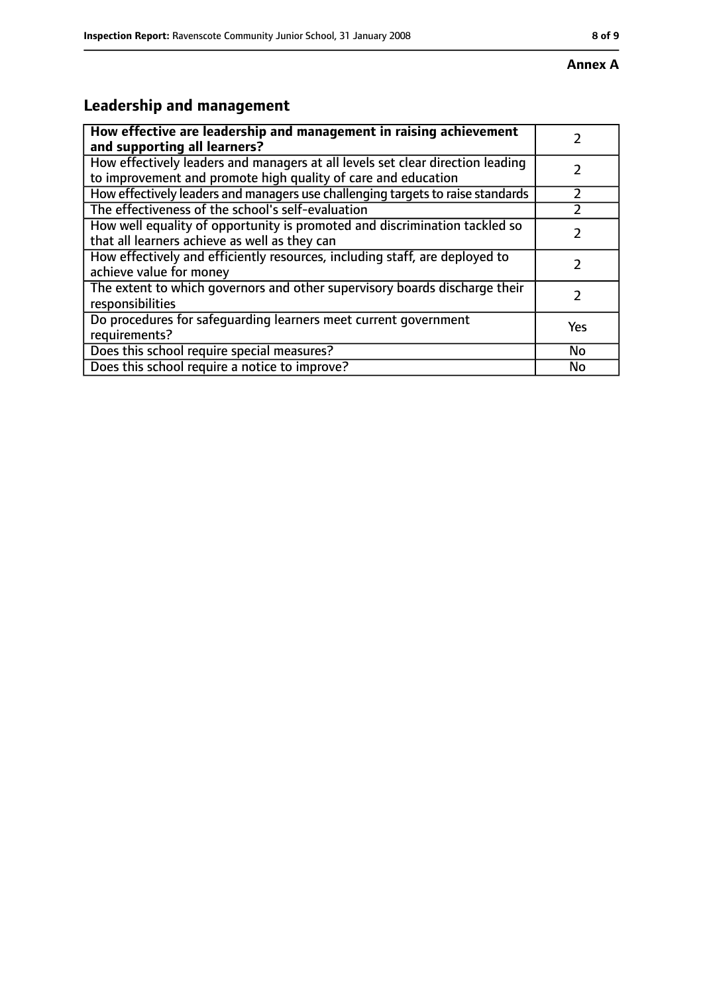# **Leadership and management**

| How effective are leadership and management in raising achievement              |     |
|---------------------------------------------------------------------------------|-----|
| and supporting all learners?                                                    |     |
| How effectively leaders and managers at all levels set clear direction leading  |     |
| to improvement and promote high quality of care and education                   |     |
| How effectively leaders and managers use challenging targets to raise standards |     |
| The effectiveness of the school's self-evaluation                               |     |
| How well equality of opportunity is promoted and discrimination tackled so      |     |
| that all learners achieve as well as they can                                   |     |
| How effectively and efficiently resources, including staff, are deployed to     | 7   |
| achieve value for money                                                         |     |
| The extent to which governors and other supervisory boards discharge their      |     |
| responsibilities                                                                |     |
| Do procedures for safequarding learners meet current government                 | Yes |
| requirements?                                                                   |     |
| Does this school require special measures?                                      | No  |
| Does this school require a notice to improve?                                   | No  |